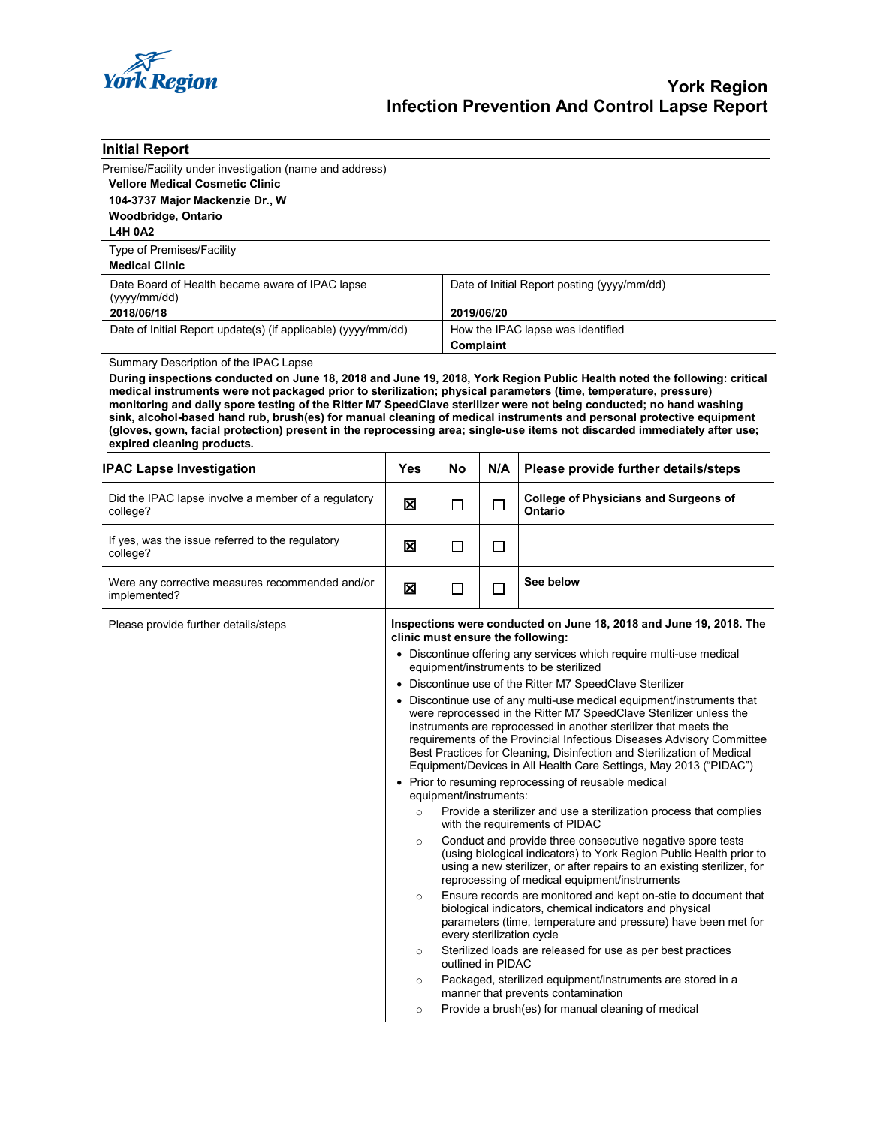

| <b>Initial Report</b>                                                                                                                                                                                                                                                                                                                                                                                                                                                                                                                                                                                                                                                                          |     |                                                                                                                                                                                                                                                                                                                                                                                                                                         |                                                                                                               |                                                                |  |  |
|------------------------------------------------------------------------------------------------------------------------------------------------------------------------------------------------------------------------------------------------------------------------------------------------------------------------------------------------------------------------------------------------------------------------------------------------------------------------------------------------------------------------------------------------------------------------------------------------------------------------------------------------------------------------------------------------|-----|-----------------------------------------------------------------------------------------------------------------------------------------------------------------------------------------------------------------------------------------------------------------------------------------------------------------------------------------------------------------------------------------------------------------------------------------|---------------------------------------------------------------------------------------------------------------|----------------------------------------------------------------|--|--|
| Premise/Facility under investigation (name and address)                                                                                                                                                                                                                                                                                                                                                                                                                                                                                                                                                                                                                                        |     |                                                                                                                                                                                                                                                                                                                                                                                                                                         |                                                                                                               |                                                                |  |  |
| <b>Vellore Medical Cosmetic Clinic</b>                                                                                                                                                                                                                                                                                                                                                                                                                                                                                                                                                                                                                                                         |     |                                                                                                                                                                                                                                                                                                                                                                                                                                         |                                                                                                               |                                                                |  |  |
| 104-3737 Major Mackenzie Dr., W                                                                                                                                                                                                                                                                                                                                                                                                                                                                                                                                                                                                                                                                |     |                                                                                                                                                                                                                                                                                                                                                                                                                                         |                                                                                                               |                                                                |  |  |
| Woodbridge, Ontario<br><b>L4H 0A2</b>                                                                                                                                                                                                                                                                                                                                                                                                                                                                                                                                                                                                                                                          |     |                                                                                                                                                                                                                                                                                                                                                                                                                                         |                                                                                                               |                                                                |  |  |
| Type of Premises/Facility                                                                                                                                                                                                                                                                                                                                                                                                                                                                                                                                                                                                                                                                      |     |                                                                                                                                                                                                                                                                                                                                                                                                                                         |                                                                                                               |                                                                |  |  |
| <b>Medical Clinic</b>                                                                                                                                                                                                                                                                                                                                                                                                                                                                                                                                                                                                                                                                          |     |                                                                                                                                                                                                                                                                                                                                                                                                                                         |                                                                                                               |                                                                |  |  |
| Date Board of Health became aware of IPAC lapse<br>(yyyy/mm/dd)                                                                                                                                                                                                                                                                                                                                                                                                                                                                                                                                                                                                                                |     |                                                                                                                                                                                                                                                                                                                                                                                                                                         | Date of Initial Report posting (yyyy/mm/dd)                                                                   |                                                                |  |  |
| 2018/06/18                                                                                                                                                                                                                                                                                                                                                                                                                                                                                                                                                                                                                                                                                     |     |                                                                                                                                                                                                                                                                                                                                                                                                                                         | 2019/06/20                                                                                                    |                                                                |  |  |
| Date of Initial Report update(s) (if applicable) (yyyy/mm/dd)                                                                                                                                                                                                                                                                                                                                                                                                                                                                                                                                                                                                                                  |     |                                                                                                                                                                                                                                                                                                                                                                                                                                         | How the IPAC lapse was identified<br>Complaint                                                                |                                                                |  |  |
| Summary Description of the IPAC Lapse<br>During inspections conducted on June 18, 2018 and June 19, 2018, York Region Public Health noted the following: critical<br>medical instruments were not packaged prior to sterilization; physical parameters (time, temperature, pressure)<br>monitoring and daily spore testing of the Ritter M7 SpeedClave sterilizer were not being conducted; no hand washing<br>sink, alcohol-based hand rub, brush(es) for manual cleaning of medical instruments and personal protective equipment<br>(gloves, gown, facial protection) present in the reprocessing area; single-use items not discarded immediately after use;<br>expired cleaning products. |     |                                                                                                                                                                                                                                                                                                                                                                                                                                         |                                                                                                               |                                                                |  |  |
| <b>IPAC Lapse Investigation</b>                                                                                                                                                                                                                                                                                                                                                                                                                                                                                                                                                                                                                                                                | Yes | No                                                                                                                                                                                                                                                                                                                                                                                                                                      | N/A                                                                                                           | Please provide further details/steps                           |  |  |
| Did the IPAC lapse involve a member of a regulatory<br>college?                                                                                                                                                                                                                                                                                                                                                                                                                                                                                                                                                                                                                                | ⊠   | $\Box$                                                                                                                                                                                                                                                                                                                                                                                                                                  | □                                                                                                             | <b>College of Physicians and Surgeons of</b><br><b>Ontario</b> |  |  |
| If yes, was the issue referred to the regulatory<br>college?                                                                                                                                                                                                                                                                                                                                                                                                                                                                                                                                                                                                                                   | ⊠   | $\Box$                                                                                                                                                                                                                                                                                                                                                                                                                                  | $\Box$                                                                                                        |                                                                |  |  |
| Were any corrective measures recommended and/or<br>implemented?                                                                                                                                                                                                                                                                                                                                                                                                                                                                                                                                                                                                                                | X   | □                                                                                                                                                                                                                                                                                                                                                                                                                                       | $\Box$                                                                                                        | See below                                                      |  |  |
| Please provide further details/steps                                                                                                                                                                                                                                                                                                                                                                                                                                                                                                                                                                                                                                                           |     |                                                                                                                                                                                                                                                                                                                                                                                                                                         | Inspections were conducted on June 18, 2018 and June 19, 2018. The<br>clinic must ensure the following:       |                                                                |  |  |
|                                                                                                                                                                                                                                                                                                                                                                                                                                                                                                                                                                                                                                                                                                |     |                                                                                                                                                                                                                                                                                                                                                                                                                                         | • Discontinue offering any services which require multi-use medical<br>equipment/instruments to be sterilized |                                                                |  |  |
|                                                                                                                                                                                                                                                                                                                                                                                                                                                                                                                                                                                                                                                                                                |     |                                                                                                                                                                                                                                                                                                                                                                                                                                         | • Discontinue use of the Ritter M7 SpeedClave Sterilizer                                                      |                                                                |  |  |
| $\circ$<br>$\circ$<br>$\circ$<br>$\circ$<br>$\circ$<br>$\circ$                                                                                                                                                                                                                                                                                                                                                                                                                                                                                                                                                                                                                                 |     | • Discontinue use of any multi-use medical equipment/instruments that<br>were reprocessed in the Ritter M7 SpeedClave Sterilizer unless the<br>instruments are reprocessed in another sterilizer that meets the<br>requirements of the Provincial Infectious Diseases Advisory Committee<br>Best Practices for Cleaning, Disinfection and Sterilization of Medical<br>Equipment/Devices in All Health Care Settings, May 2013 ("PIDAC") |                                                                                                               |                                                                |  |  |
|                                                                                                                                                                                                                                                                                                                                                                                                                                                                                                                                                                                                                                                                                                |     | • Prior to resuming reprocessing of reusable medical<br>equipment/instruments:                                                                                                                                                                                                                                                                                                                                                          |                                                                                                               |                                                                |  |  |
|                                                                                                                                                                                                                                                                                                                                                                                                                                                                                                                                                                                                                                                                                                |     | Provide a sterilizer and use a sterilization process that complies<br>with the requirements of PIDAC                                                                                                                                                                                                                                                                                                                                    |                                                                                                               |                                                                |  |  |
|                                                                                                                                                                                                                                                                                                                                                                                                                                                                                                                                                                                                                                                                                                |     | Conduct and provide three consecutive negative spore tests<br>(using biological indicators) to York Region Public Health prior to<br>using a new sterilizer, or after repairs to an existing sterilizer, for<br>reprocessing of medical equipment/instruments                                                                                                                                                                           |                                                                                                               |                                                                |  |  |
|                                                                                                                                                                                                                                                                                                                                                                                                                                                                                                                                                                                                                                                                                                |     | Ensure records are monitored and kept on-stie to document that<br>biological indicators, chemical indicators and physical<br>parameters (time, temperature and pressure) have been met for<br>every sterilization cycle                                                                                                                                                                                                                 |                                                                                                               |                                                                |  |  |
|                                                                                                                                                                                                                                                                                                                                                                                                                                                                                                                                                                                                                                                                                                |     | Sterilized loads are released for use as per best practices<br>outlined in PIDAC                                                                                                                                                                                                                                                                                                                                                        |                                                                                                               |                                                                |  |  |
|                                                                                                                                                                                                                                                                                                                                                                                                                                                                                                                                                                                                                                                                                                |     | Packaged, sterilized equipment/instruments are stored in a<br>manner that prevents contamination                                                                                                                                                                                                                                                                                                                                        |                                                                                                               |                                                                |  |  |
|                                                                                                                                                                                                                                                                                                                                                                                                                                                                                                                                                                                                                                                                                                |     | Provide a brush(es) for manual cleaning of medical                                                                                                                                                                                                                                                                                                                                                                                      |                                                                                                               |                                                                |  |  |